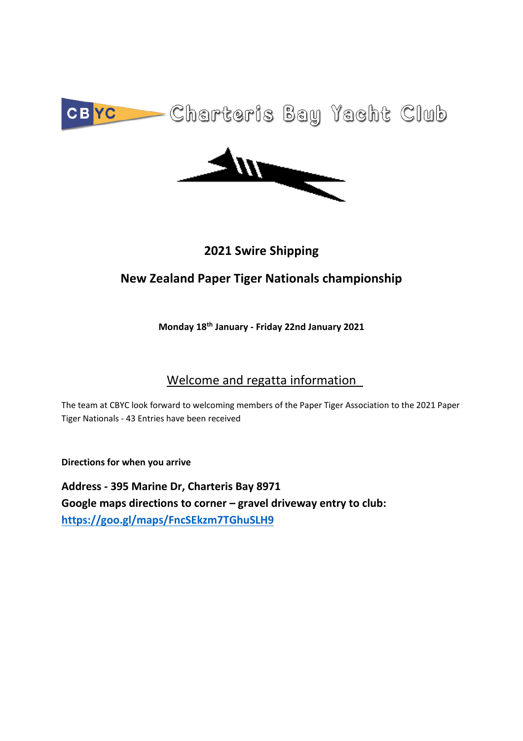



## **2021 Swire Shipping**

## **New Zealand Paper Tiger Nationals championship**

### **Monday 18th January - Friday 22nd January 2021**

## Welcome and regatta information

The team at CBYC look forward to welcoming members of the Paper Tiger Association to the 2021 Paper Tiger Nationals - 43 Entries have been received

**Directions for when you arrive** 

**Address - 395 Marine Dr, Charteris Bay 8971 Google maps directions to corner – gravel driveway entry to club: https://goo.gl/maps/FncSEkzm7TGhuSLH9**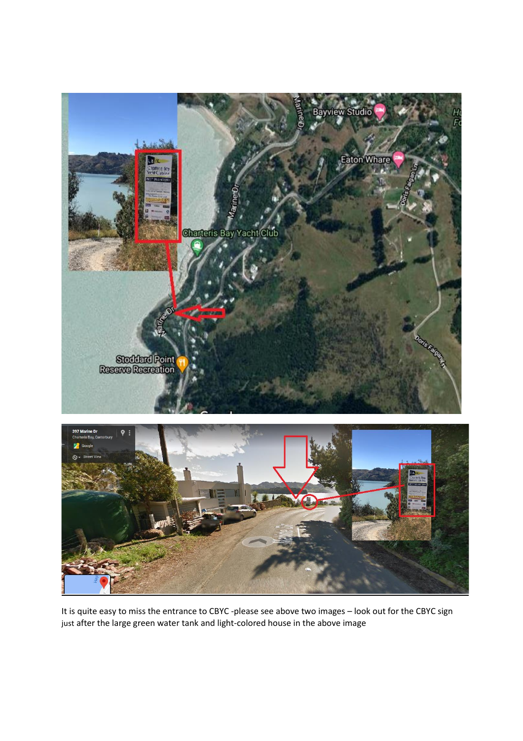



It is quite easy to miss the entrance to CBYC -please see above two images – look out for the CBYC sign just after the large green water tank and light-colored house in the above image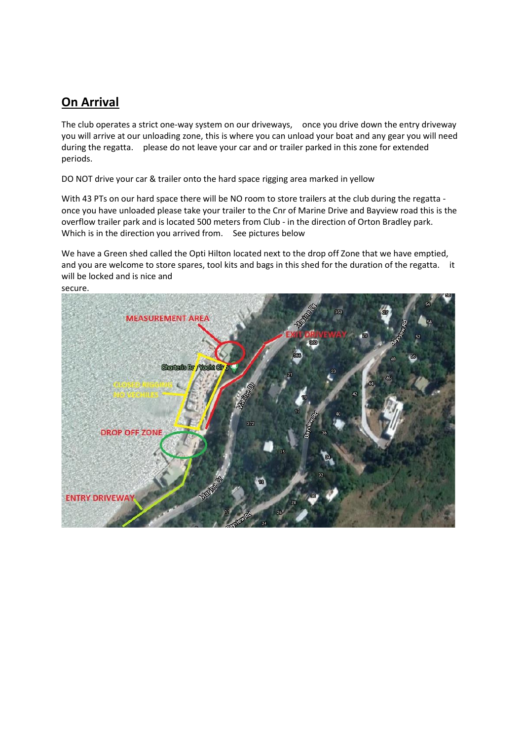### **On Arrival**

The club operates a strict one-way system on our driveways, once you drive down the entry driveway you will arrive at our unloading zone, this is where you can unload your boat and any gear you will need during the regatta. please do not leave your car and or trailer parked in this zone for extended periods.

DO NOT drive your car & trailer onto the hard space rigging area marked in yellow

With 43 PTs on our hard space there will be NO room to store trailers at the club during the regatta once you have unloaded please take your trailer to the Cnr of Marine Drive and Bayview road this is the overflow trailer park and is located 500 meters from Club - in the direction of Orton Bradley park. Which is in the direction you arrived from. See pictures below

We have a Green shed called the Opti Hilton located next to the drop off Zone that we have emptied, and you are welcome to store spares, tool kits and bags in this shed for the duration of the regatta. it will be locked and is nice and

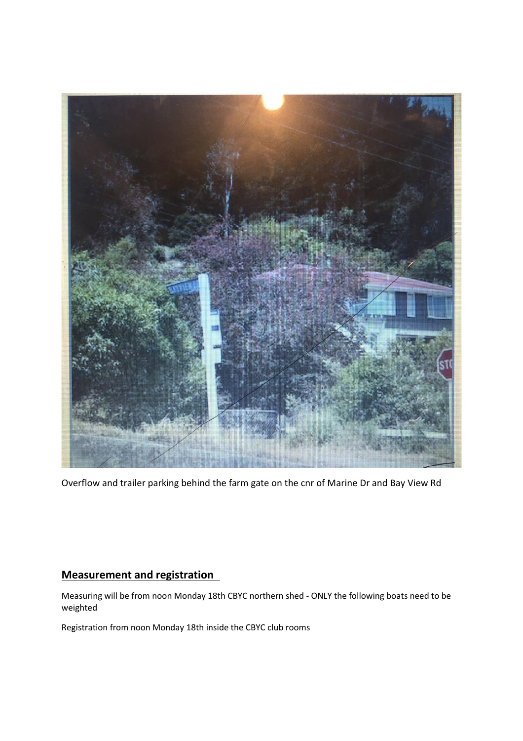

Overflow and trailer parking behind the farm gate on the cnr of Marine Dr and Bay View Rd

### **Measurement and registration**

Measuring will be from noon Monday 18th CBYC northern shed - ONLY the following boats need to be weighted

Registration from noon Monday 18th inside the CBYC club rooms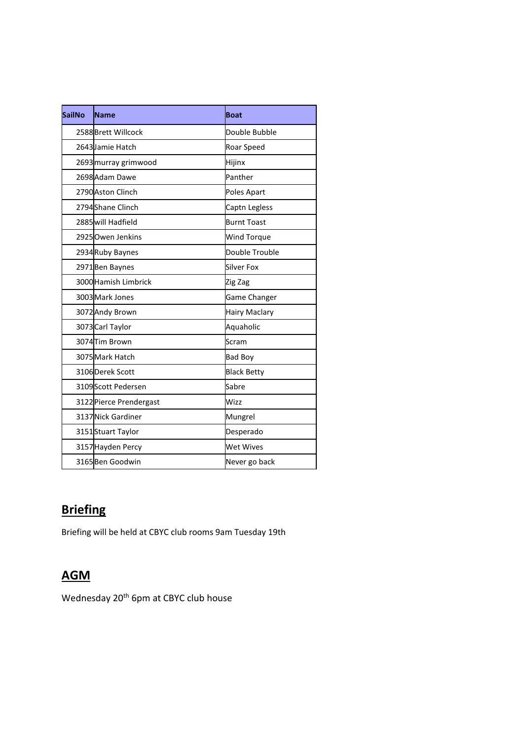| <b>SailNo</b> | <b>Name</b>             | <b>Boat</b>          |
|---------------|-------------------------|----------------------|
|               | 2588 Brett Willcock     | Double Bubble        |
|               | 2643 Jamie Hatch        | Roar Speed           |
|               | 2693 murray grimwood    | Hijinx               |
|               | 2698 Adam Dawe          | Panther              |
|               | 2790 Aston Clinch       | Poles Apart          |
|               | 2794 Shane Clinch       | Captn Legless        |
|               | 2885 will Hadfield      | <b>Burnt Toast</b>   |
|               | 2925 Owen Jenkins       | <b>Wind Torque</b>   |
|               | 2934 Ruby Baynes        | Double Trouble       |
|               | 2971 Ben Baynes         | Silver Fox           |
|               | 3000 Hamish Limbrick    | Zig Zag              |
|               | 3003 Mark Jones         | Game Changer         |
|               | 3072 Andy Brown         | <b>Hairy Maclary</b> |
|               | 3073 Carl Taylor        | Aquaholic            |
|               | 3074 Tim Brown          | Scram                |
|               | 3075 Mark Hatch         | <b>Bad Boy</b>       |
|               | 3106 Derek Scott        | <b>Black Betty</b>   |
|               | 3109 Scott Pedersen     | Sabre                |
|               | 3122 Pierce Prendergast | Wizz                 |
|               | 3137 Nick Gardiner      | Mungrel              |
|               | 3151 Stuart Taylor      | Desperado            |
|               | 3157 Hayden Percy       | <b>Wet Wives</b>     |
|               | 3165 Ben Goodwin        | Never go back        |

# **Briefing**

Briefing will be held at CBYC club rooms 9am Tuesday 19th

# **AGM**

Wednesday 20<sup>th</sup> 6pm at CBYC club house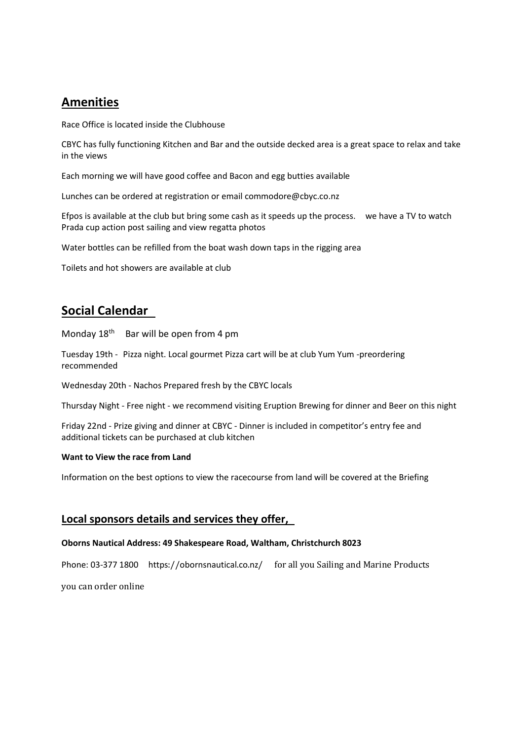### **Amenities**

Race Office is located inside the Clubhouse

CBYC has fully functioning Kitchen and Bar and the outside decked area is a great space to relax and take in the views

Each morning we will have good coffee and Bacon and egg butties available

Lunches can be ordered at registration or email commodore@cbyc.co.nz

Efpos is available at the club but bring some cash as it speeds up the process. we have a TV to watch Prada cup action post sailing and view regatta photos

Water bottles can be refilled from the boat wash down taps in the rigging area

Toilets and hot showers are available at club

### **Social Calendar**

Monday  $18<sup>th</sup>$  Bar will be open from 4 pm

Tuesday 19th - Pizza night. Local gourmet Pizza cart will be at club Yum Yum -preordering recommended

Wednesday 20th - Nachos Prepared fresh by the CBYC locals

Thursday Night - Free night - we recommend visiting Eruption Brewing for dinner and Beer on this night

Friday 22nd - Prize giving and dinner at CBYC - Dinner is included in competitor's entry fee and additional tickets can be purchased at club kitchen

#### **Want to View the race from Land**

Information on the best options to view the racecourse from land will be covered at the Briefing

#### **Local sponsors details and services they offer,**

#### **Oborns Nautical Address: 49 Shakespeare Road, Waltham, Christchurch 8023**

Phone: 03-377 1800 https://obornsnautical.co.nz/ for all you Sailing and Marine Products

you can order online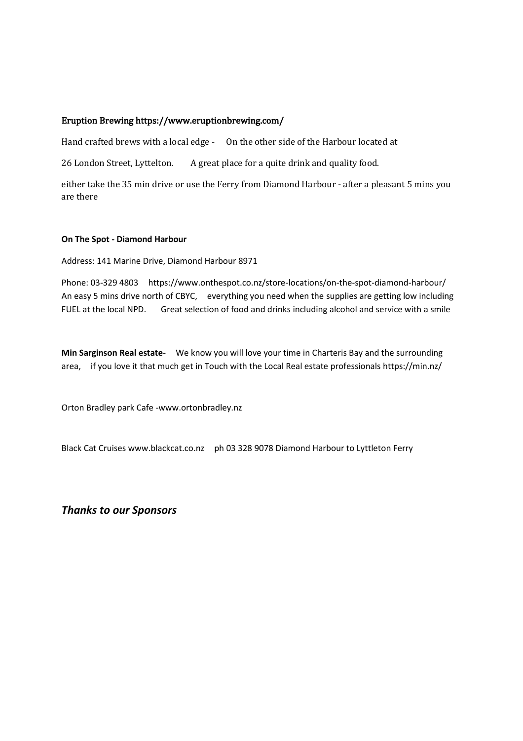#### Eruption Brewing https://www.eruptionbrewing.com/

Hand crafted brews with a local edge - On the other side of the Harbour located at

26 London Street, Lyttelton. A great place for a quite drink and quality food.

either take the 35 min drive or use the Ferry from Diamond Harbour - after a pleasant 5 mins you are there

#### **On The Spot - Diamond Harbour**

Address: 141 Marine Drive, Diamond Harbour 8971

Phone: 03-329 4803 https://www.onthespot.co.nz/store-locations/on-the-spot-diamond-harbour/ An easy 5 mins drive north of CBYC, everything you need when the supplies are getting low including FUEL at the local NPD. Great selection of food and drinks including alcohol and service with a smile

**Min Sarginson Real estate**- We know you will love your time in Charteris Bay and the surrounding area, if you love it that much get in Touch with the Local Real estate professionals https://min.nz/

Orton Bradley park Cafe -www.ortonbradley.nz

Black Cat Cruises www.blackcat.co.nz ph 03 328 9078 Diamond Harbour to Lyttleton Ferry

*Thanks to our Sponsors*